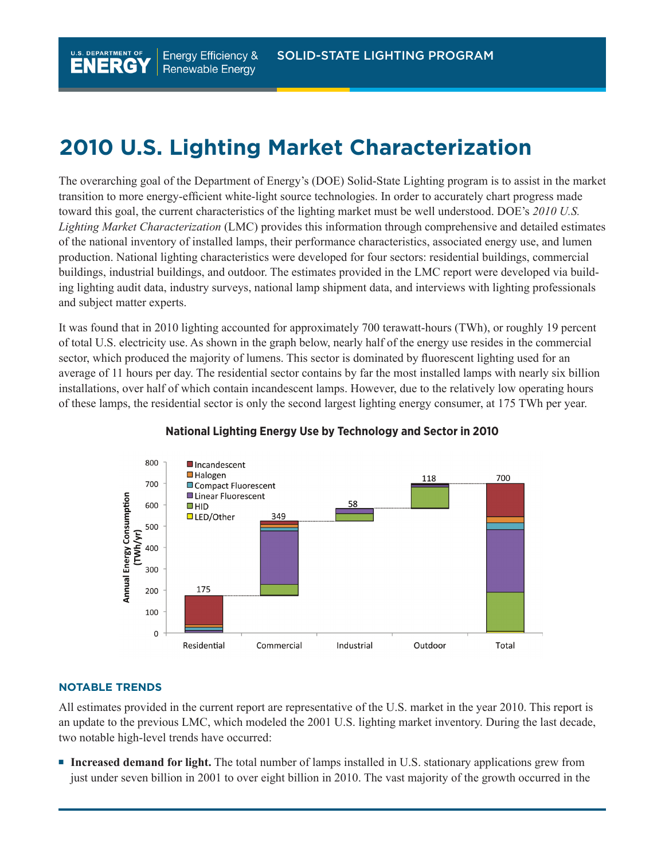## **2010 U.S. Lighting Market Characterization**

The overarching goal of the Department of Energy's (DOE) Solid-State Lighting program is to assist in the market transition to more energy-efficient white-light source technologies. In order to accurately chart progress made toward this goal, the current characteristics of the lighting market must be well understood. DOE's *2010 U.S. Lighting Market Characterization* (LMC) provides this information through comprehensive and detailed estimates of the national inventory of installed lamps, their performance characteristics, associated energy use, and lumen production. National lighting characteristics were developed for four sectors: residential buildings, commercial buildings, industrial buildings, and outdoor. The estimates provided in the LMC report were developed via building lighting audit data, industry surveys, national lamp shipment data, and interviews with lighting professionals and subject matter experts.

It was found that in 2010 lighting accounted for approximately 700 terawatt-hours (TWh), or roughly 19 percent of total U.S. electricity use. As shown in the graph below, nearly half of the energy use resides in the commercial sector, which produced the majority of lumens. This sector is dominated by fluorescent lighting used for an average of 11 hours per day. The residential sector contains by far the most installed lamps with nearly six billion installations, over half of which contain incandescent lamps. However, due to the relatively low operating hours of these lamps, the residential sector is only the second largest lighting energy consumer, at 175 TWh per year.



## **National Lighting Energy Use by Technology and Sector in 2010**

## **NotabLe treNdS**

U.S. DEPARTMENT OF

All estimates provided in the current report are representative of the U.S. market in the year 2010. This report is an update to the previous LMC, which modeled the 2001 U.S. lighting market inventory. During the last decade, two notable high-level trends have occurred:

**Increased demand for light.** The total number of lamps installed in U.S. stationary applications grew from just under seven billion in 2001 to over eight billion in 2010. The vast majority of the growth occurred in the